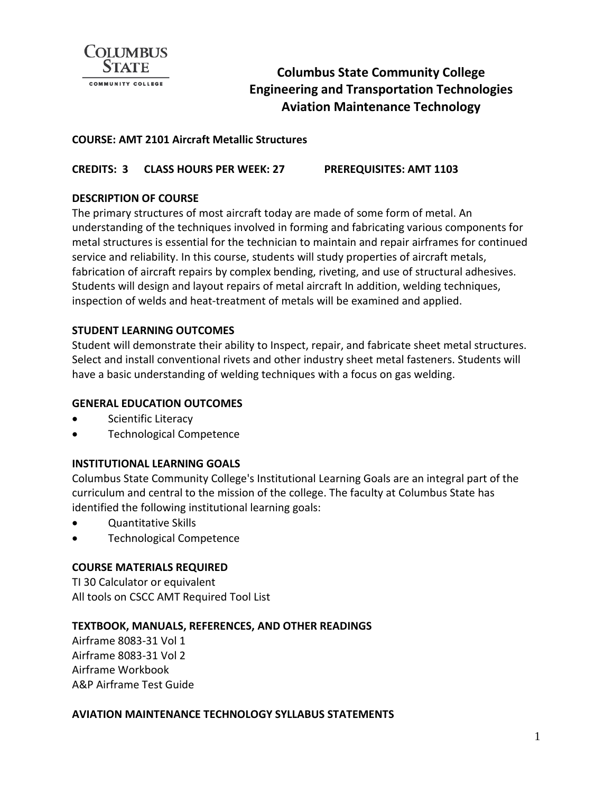

# **Columbus State Community College Engineering and Transportation Technologies Aviation Maintenance Technology**

## **COURSE: AMT 2101 Aircraft Metallic Structures**

## **CREDITS: 3 CLASS HOURS PER WEEK: 27 PREREQUISITES: AMT 1103**

## **DESCRIPTION OF COURSE**

The primary structures of most aircraft today are made of some form of metal. An understanding of the techniques involved in forming and fabricating various components for metal structures is essential for the technician to maintain and repair airframes for continued service and reliability. In this course, students will study properties of aircraft metals, fabrication of aircraft repairs by complex bending, riveting, and use of structural adhesives. Students will design and layout repairs of metal aircraft In addition, welding techniques, inspection of welds and heat-treatment of metals will be examined and applied.

### **STUDENT LEARNING OUTCOMES**

Student will demonstrate their ability to Inspect, repair, and fabricate sheet metal structures. Select and install conventional rivets and other industry sheet metal fasteners. Students will have a basic understanding of welding techniques with a focus on gas welding.

#### **GENERAL EDUCATION OUTCOMES**

- Scientific Literacy
- Technological Competence

#### **INSTITUTIONAL LEARNING GOALS**

Columbus State Community College's Institutional Learning Goals are an integral part of the curriculum and central to the mission of the college. The faculty at Columbus State has identified the following institutional learning goals:

- Quantitative Skills
- Technological Competence

#### **COURSE MATERIALS REQUIRED**

TI 30 Calculator or equivalent All tools on CSCC AMT Required Tool List

#### **TEXTBOOK, MANUALS, REFERENCES, AND OTHER READINGS**

Airframe 8083-31 Vol 1 Airframe 8083-31 Vol 2 Airframe Workbook A&P Airframe Test Guide

#### **AVIATION MAINTENANCE TECHNOLOGY SYLLABUS STATEMENTS**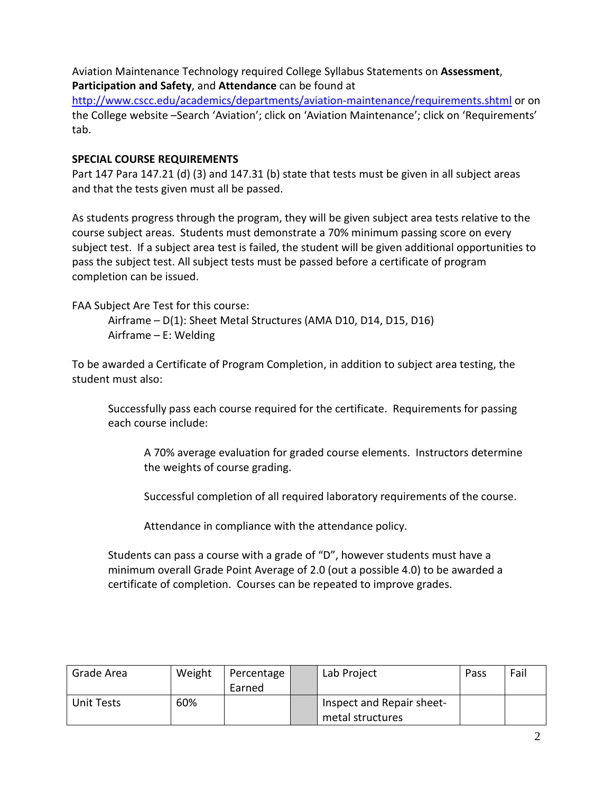Aviation Maintenance Technology required College Syllabus Statements on **Assessment**, **Participation and Safety**, and **Attendance** can be found at

<http://www.cscc.edu/academics/departments/aviation-maintenance/requirements.shtml> or on the College website –Search 'Aviation'; click on 'Aviation Maintenance'; click on 'Requirements' tab.

## **SPECIAL COURSE REQUIREMENTS**

Part 147 Para 147.21 (d) (3) and 147.31 (b) state that tests must be given in all subject areas and that the tests given must all be passed.

As students progress through the program, they will be given subject area tests relative to the course subject areas. Students must demonstrate a 70% minimum passing score on every subject test. If a subject area test is failed, the student will be given additional opportunities to pass the subject test. All subject tests must be passed before a certificate of program completion can be issued.

FAA Subject Are Test for this course:

Airframe – D(1): Sheet Metal Structures (AMA D10, D14, D15, D16) Airframe – E: Welding

To be awarded a Certificate of Program Completion, in addition to subject area testing, the student must also:

Successfully pass each course required for the certificate. Requirements for passing each course include:

A 70% average evaluation for graded course elements. Instructors determine the weights of course grading.

Successful completion of all required laboratory requirements of the course.

Attendance in compliance with the attendance policy.

Students can pass a course with a grade of "D", however students must have a minimum overall Grade Point Average of 2.0 (out a possible 4.0) to be awarded a certificate of completion. Courses can be repeated to improve grades.

| Grade Area | Weight | Percentage<br>Earned | Lab Project                                   | Pass | Fail |
|------------|--------|----------------------|-----------------------------------------------|------|------|
| Unit Tests | 60%    |                      | Inspect and Repair sheet-<br>metal structures |      |      |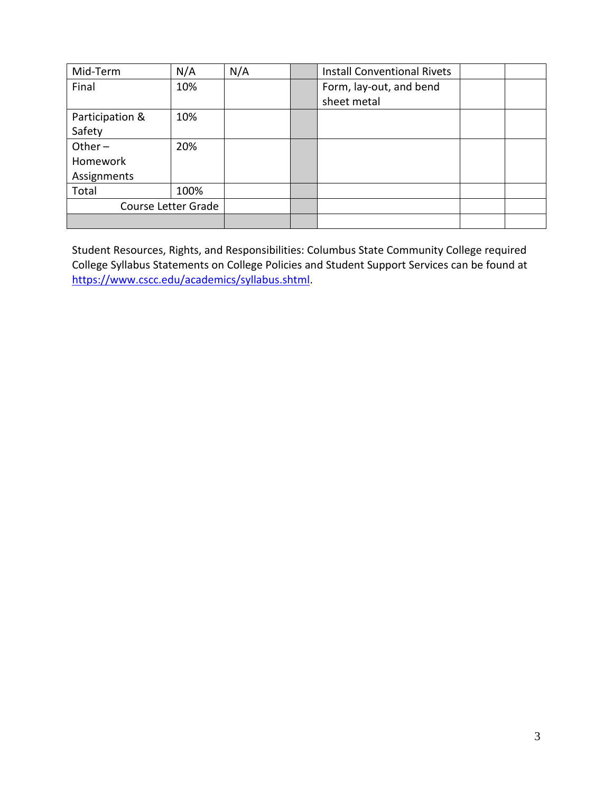| Mid-Term        | N/A                 | N/A | <b>Install Conventional Rivets</b> |  |
|-----------------|---------------------|-----|------------------------------------|--|
| Final           | 10%                 |     | Form, lay-out, and bend            |  |
|                 |                     |     | sheet metal                        |  |
| Participation & | 10%                 |     |                                    |  |
| Safety          |                     |     |                                    |  |
| Other $-$       | 20%                 |     |                                    |  |
| Homework        |                     |     |                                    |  |
| Assignments     |                     |     |                                    |  |
| Total           | 100%                |     |                                    |  |
|                 | Course Letter Grade |     |                                    |  |
|                 |                     |     |                                    |  |

Student Resources, Rights, and Responsibilities: Columbus State Community College required College Syllabus Statements on College Policies and Student Support Services can be found at [https://www.cscc.edu/academics/syllabus.shtml.](https://www.cscc.edu/academics/syllabus.shtml)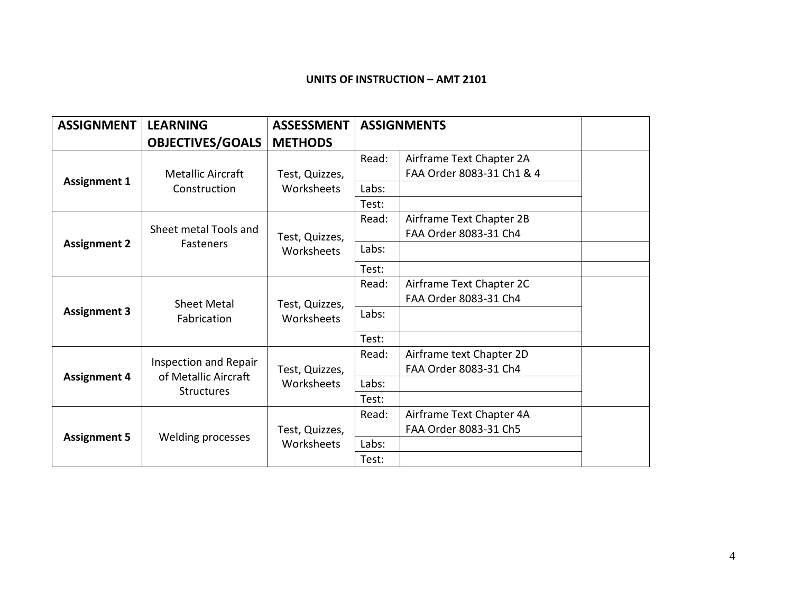## **UNITS OF INSTRUCTION – AMT 2101**

| <b>ASSIGNMENT</b>   | <b>LEARNING</b>          | <b>ASSESSMENT</b> |       | <b>ASSIGNMENTS</b>                                    |  |
|---------------------|--------------------------|-------------------|-------|-------------------------------------------------------|--|
|                     | <b>OBJECTIVES/GOALS</b>  | <b>METHODS</b>    |       |                                                       |  |
|                     | <b>Metallic Aircraft</b> | Test, Quizzes,    | Read: | Airframe Text Chapter 2A<br>FAA Order 8083-31 Ch1 & 4 |  |
| <b>Assignment 1</b> | Construction             | Worksheets        | Labs: |                                                       |  |
|                     |                          |                   | Test: |                                                       |  |
|                     | Sheet metal Tools and    | Test, Quizzes,    | Read: | Airframe Text Chapter 2B<br>FAA Order 8083-31 Ch4     |  |
| <b>Assignment 2</b> | <b>Fasteners</b>         | Worksheets        | Labs: |                                                       |  |
|                     |                          |                   | Test: |                                                       |  |
|                     |                          |                   | Read: | Airframe Text Chapter 2C                              |  |
|                     | <b>Sheet Metal</b>       | Test, Quizzes,    |       | FAA Order 8083-31 Ch4                                 |  |
| <b>Assignment 3</b> | Fabrication              | Worksheets        | Labs: |                                                       |  |
|                     |                          |                   | Test: |                                                       |  |
|                     | Inspection and Repair    |                   | Read: | Airframe text Chapter 2D                              |  |
| <b>Assignment 4</b> | of Metallic Aircraft     | Test, Quizzes,    |       | FAA Order 8083-31 Ch4                                 |  |
|                     | <b>Structures</b>        | Worksheets        | Labs: |                                                       |  |
|                     |                          |                   | Test: |                                                       |  |
|                     |                          |                   | Read: | Airframe Text Chapter 4A                              |  |
| <b>Assignment 5</b> | Welding processes        | Test, Quizzes,    |       | FAA Order 8083-31 Ch5                                 |  |
|                     |                          | Worksheets        | Labs: |                                                       |  |
|                     |                          |                   | Test: |                                                       |  |